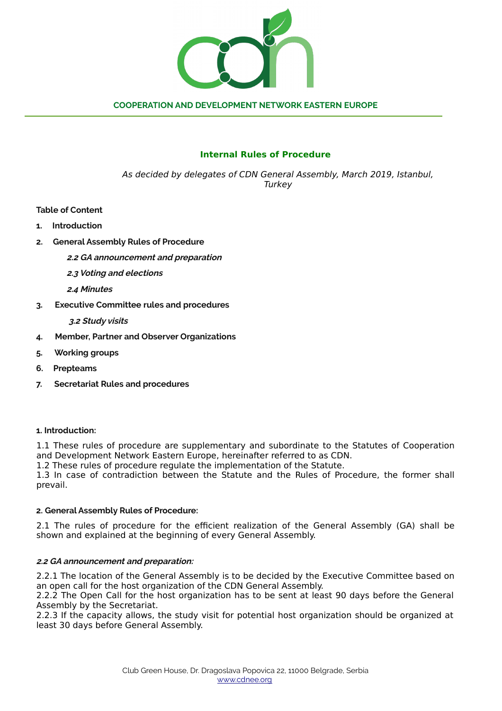

# **Internal Rules of Procedure**

As decided by delegates of CDN General Assembly, March 2019, Istanbul, **Turkey** 

**Table of Content**

- **1. Introduction**
- **2. General Assembly Rules of Procedure**
	- **2.2 GA announcement and preparation**
	- **2.3 Voting and elections**
	- **2.4 Minutes**
- **3. Executive Committee rules and procedures**
	- **3.2 Study visits**
- **4. Member, Partner and Observer Organizations**
- **5. Working groups**
- **6. Prepteams**
- **7. Secretariat Rules and procedures**

#### **1. Introduction:**

1.1 These rules of procedure are supplementary and subordinate to the Statutes of Cooperation and Development Network Eastern Europe, hereinafter referred to as CDN.

1.2 These rules of procedure regulate the implementation of the Statute.

1.3 In case of contradiction between the Statute and the Rules of Procedure, the former shall prevail.

## **2. General Assembly Rules of Procedure:**

2.1 The rules of procedure for the efficient realization of the General Assembly (GA) shall be shown and explained at the beginning of every General Assembly.

## **2.2 GA announcement and preparation:**

2.2.1 The location of the General Assembly is to be decided by the Executive Committee based on an open call for the host organization of the CDN General Assembly.

2.2.2 The Open Call for the host organization has to be sent at least 90 days before the General Assembly by the Secretariat.

2.2.3 If the capacity allows, the study visit for potential host organization should be organized at least 30 days before General Assembly.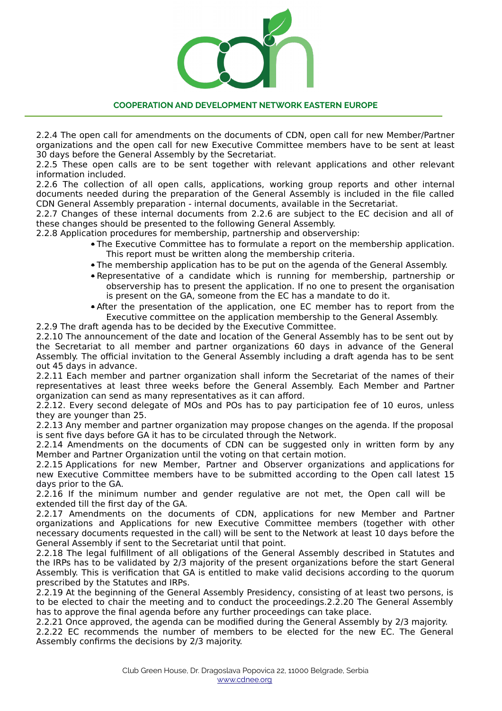

2.2.4 The open call for amendments on the documents of CDN, open call for new Member/Partner organizations and the open call for new Executive Committee members have to be sent at least 30 days before the General Assembly by the Secretariat.

2.2.5 These open calls are to be sent together with relevant applications and other relevant information included.

2.2.6 The collection of all open calls, applications, working group reports and other internal documents needed during the preparation of the General Assembly is included in the file called CDN General Assembly preparation - internal documents, available in the Secretariat.

2.2.7 Changes of these internal documents from 2.2.6 are subject to the EC decision and all of these changes should be presented to the following General Assembly.

2.2.8 Application procedures for membership, partnership and observership:

- The Executive Committee has to formulate a report on the membership application. This report must be written along the membership criteria.
- The membership application has to be put on the agenda of the General Assembly.
- Representative of a candidate which is running for membership, partnership or observership has to present the application. If no one to present the organisation is present on the GA, someone from the EC has a mandate to do it.
- After the presentation of the application, one EC member has to report from the Executive committee on the application membership to the General Assembly.

2.2.9 The draft agenda has to be decided by the Executive Committee.

2.2.10 The announcement of the date and location of the General Assembly has to be sent out by the Secretariat to all member and partner organizations 60 days in advance of the General Assembly. The official invitation to the General Assembly including a draft agenda has to be sent out 45 days in advance.

2.2.11 Each member and partner organization shall inform the Secretariat of the names of their representatives at least three weeks before the General Assembly. Each Member and Partner organization can send as many representatives as it can afford.

2.2.12. Every second delegate of MOs and POs has to pay participation fee of 10 euros, unless they are younger than 25.

2.2.13 Any member and partner organization may propose changes on the agenda. If the proposal is sent five days before GA it has to be circulated through the Network.

2.2.14 Amendments on the documents of CDN can be suggested only in written form by any Member and Partner Organization until the voting on that certain motion.

2.2.15 Applications for new Member, Partner and Observer organizations and applications for new Executive Committee members have to be submitted according to the Open call latest 15 days prior to the GA.

2.2.16 If the minimum number and gender regulative are not met, the Open call will be extended till the first day of the GA.

2.2.17 Amendments on the documents of CDN, applications for new Member and Partner organizations and Applications for new Executive Committee members (together with other necessary documents requested in the call) will be sent to the Network at least 10 days before the General Assembly if sent to the Secretariat until that point.

2.2.18 The legal fulfillment of all obligations of the General Assembly described in Statutes and the IRPs has to be validated by 2/3 majority of the present organizations before the start General Assembly. This is verification that GA is entitled to make valid decisions according to the quorum prescribed by the Statutes and IRPs.

2.2.19 At the beginning of the General Assembly Presidency, consisting of at least two persons, is to be elected to chair the meeting and to conduct the proceedings.2.2.20 The General Assembly has to approve the final agenda before any further proceedings can take place.

2.2.21 Once approved, the agenda can be modified during the General Assembly by 2/3 majority.

2.2.22 EC recommends the number of members to be elected for the new EC. The General Assembly confirms the decisions by 2/3 majority.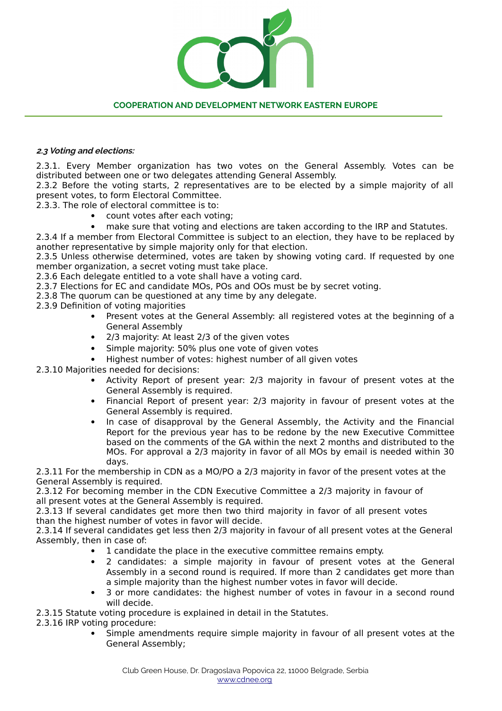# **2.3 Voting and elections:**

2.3.1. Every Member organization has two votes on the General Assembly. Votes can be distributed between one or two delegates attending General Assembly.

2.3.2 Before the voting starts, 2 representatives are to be elected by a simple majority of all present votes, to form Electoral Committee.

2.3.3. The role of electoral committee is to:

- count votes after each voting;
- make sure that voting and elections are taken according to the IRP and Statutes.

2.3.4 If a member from Electoral Committee is subject to an election, they have to be replaced by another representative by simple majority only for that election.

2.3.5 Unless otherwise determined, votes are taken by showing voting card. If requested by one member organization, a secret voting must take place.

2.3.6 Each delegate entitled to a vote shall have a voting card.

2.3.7 Elections for EC and candidate MOs, POs and OOs must be by secret voting.

2.3.8 The quorum can be questioned at any time by any delegate.

2.3.9 Definition of voting majorities

- Present votes at the General Assembly: all registered votes at the beginning of a General Assembly
- 2/3 majority: At least 2/3 of the given votes
- Simple majority: 50% plus one vote of given votes
- Highest number of votes: highest number of all given votes

2.3.10 Majorities needed for decisions:

- Activity Report of present year: 2/3 majority in favour of present votes at the General Assembly is required.
- Financial Report of present year: 2/3 majority in favour of present votes at the General Assembly is required.
- In case of disapproval by the General Assembly, the Activity and the Financial Report for the previous year has to be redone by the new Executive Committee based on the comments of the GA within the next 2 months and distributed to the MOs. For approval a 2/3 majority in favor of all MOs by email is needed within 30 days.

2.3.11 For the membership in CDN as a MO/PO a 2/3 majority in favor of the present votes at the General Assembly is required.

2.3.12 For becoming member in the CDN Executive Committee a 2/3 majority in favour of all present votes at the General Assembly is required.

2.3.13 If several candidates get more then two third majority in favor of all present votes than the highest number of votes in favor will decide.

2.3.14 If several candidates get less then 2/3 majority in favour of all present votes at the General Assembly, then in case of:

- 1 candidate the place in the executive committee remains empty.
- 2 candidates: a simple majority in favour of present votes at the General Assembly in a second round is required. If more than 2 candidates get more than a simple majority than the highest number votes in favor will decide.
- 3 or more candidates: the highest number of votes in favour in a second round will decide.

2.3.15 Statute voting procedure is explained in detail in the Statutes.

2.3.16 IRP voting procedure:

 Simple amendments require simple majority in favour of all present votes at the General Assembly;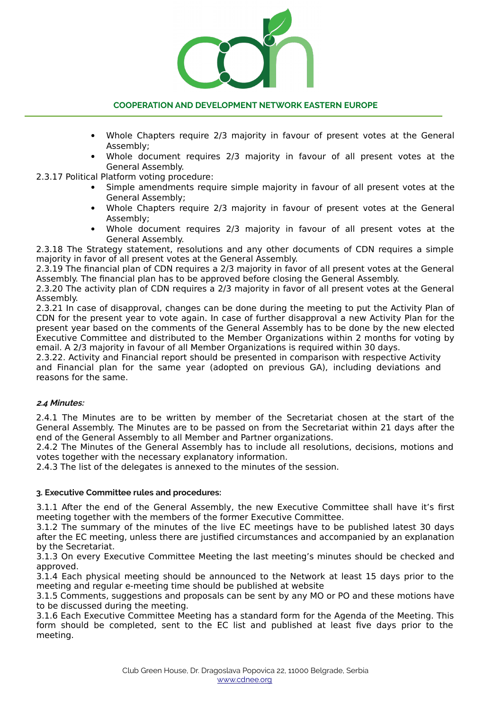

- Whole Chapters require 2/3 majority in favour of present votes at the General Assembly;
- Whole document requires 2/3 majority in favour of all present votes at the General Assembly.
- 2.3.17 Political Platform voting procedure:
	- Simple amendments require simple majority in favour of all present votes at the General Assembly;
	- Whole Chapters require 2/3 majority in favour of present votes at the General Assembly;
	- Whole document requires 2/3 majority in favour of all present votes at the General Assembly.

2.3.18 The Strategy statement, resolutions and any other documents of CDN requires a simple majority in favor of all present votes at the General Assembly.

2.3.19 The financial plan of CDN requires a 2/3 majority in favor of all present votes at the General Assembly. The financial plan has to be approved before closing the General Assembly.

2.3.20 The activity plan of CDN requires a 2/3 majority in favor of all present votes at the General Assembly.

2.3.21 In case of disapproval, changes can be done during the meeting to put the Activity Plan of CDN for the present year to vote again. In case of further disapproval a new Activity Plan for the present year based on the comments of the General Assembly has to be done by the new elected Executive Committee and distributed to the Member Organizations within 2 months for voting by email. A 2/3 majority in favour of all Member Organizations is required within 30 days.

2.3.22. Activity and Financial report should be presented in comparison with respective Activity and Financial plan for the same year (adopted on previous GA), including deviations and reasons for the same.

#### **2.4 Minutes:**

2.4.1 The Minutes are to be written by member of the Secretariat chosen at the start of the General Assembly. The Minutes are to be passed on from the Secretariat within 21 days after the end of the General Assembly to all Member and Partner organizations.

2.4.2 The Minutes of the General Assembly has to include all resolutions, decisions, motions and votes together with the necessary explanatory information.

2.4.3 The list of the delegates is annexed to the minutes of the session.

#### **3. Executive Committee rules and procedures:**

3.1.1 After the end of the General Assembly, the new Executive Committee shall have it's first meeting together with the members of the former Executive Committee.

3.1.2 The summary of the minutes of the live EC meetings have to be published latest 30 days after the EC meeting, unless there are justified circumstances and accompanied by an explanation by the Secretariat.

3.1.3 On every Executive Committee Meeting the last meeting's minutes should be checked and approved.

3.1.4 Each physical meeting should be announced to the Network at least 15 days prior to the meeting and regular e-meeting time should be published at website

3.1.5 Comments, suggestions and proposals can be sent by any MO or PO and these motions have to be discussed during the meeting.

3.1.6 Each Executive Committee Meeting has a standard form for the Agenda of the Meeting. This form should be completed, sent to the EC list and published at least five days prior to the meeting.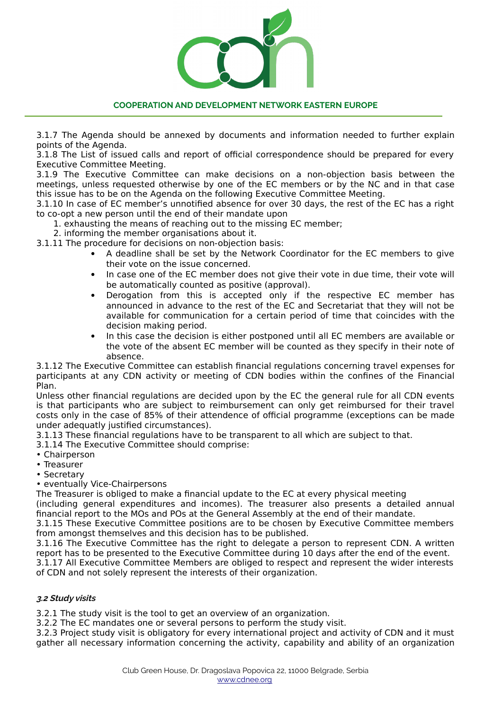3.1.7 The Agenda should be annexed by documents and information needed to further explain points of the Agenda.

3.1.8 The List of issued calls and report of official correspondence should be prepared for every Executive Committee Meeting.

3.1.9 The Executive Committee can make decisions on a non-objection basis between the meetings, unless requested otherwise by one of the EC members or by the NC and in that case this issue has to be on the Agenda on the following Executive Committee Meeting.

3.1.10 In case of EC member's unnotified absence for over 30 days, the rest of the EC has a right to co-opt a new person until the end of their mandate upon

1. exhausting the means of reaching out to the missing EC member;

2. informing the member organisations about it.

3.1.11 The procedure for decisions on non-objection basis:

- A deadline shall be set by the Network Coordinator for the EC members to give their vote on the issue concerned.
- In case one of the EC member does not give their vote in due time, their vote will be automatically counted as positive (approval).
- Derogation from this is accepted only if the respective EC member has announced in advance to the rest of the EC and Secretariat that they will not be available for communication for a certain period of time that coincides with the decision making period.
- In this case the decision is either postponed until all EC members are available or the vote of the absent EC member will be counted as they specify in their note of absence.

3.1.12 The Executive Committee can establish financial regulations concerning travel expenses for participants at any CDN activity or meeting of CDN bodies within the confines of the Financial Plan.

Unless other financial regulations are decided upon by the EC the general rule for all CDN events is that participants who are subject to reimbursement can only get reimbursed for their travel costs only in the case of 85% of their attendence of official programme (exceptions can be made under adequatly justified circumstances).

3.1.13 These financial regulations have to be transparent to all which are subject to that.

3.1.14 The Executive Committee should comprise:

- Chairperson
- Treasurer
- Secretary

• eventually Vice-Chairpersons

The Treasurer is obliged to make a financial update to the EC at every physical meeting

(including general expenditures and incomes). The treasurer also presents a detailed annual financial report to the MOs and POs at the General Assembly at the end of their mandate.

3.1.15 These Executive Committee positions are to be chosen by Executive Committee members from amongst themselves and this decision has to be published.

3.1.16 The Executive Committee has the right to delegate a person to represent CDN. A written report has to be presented to the Executive Committee during 10 days after the end of the event.

3.1.17 All Executive Committee Members are obliged to respect and represent the wider interests of CDN and not solely represent the interests of their organization.

# **3.2 Study visits**

3.2.1 The study visit is the tool to get an overview of an organization.

3.2.2 The EC mandates one or several persons to perform the study visit.

3.2.3 Project study visit is obligatory for every international project and activity of CDN and it must gather all necessary information concerning the activity, capability and ability of an organization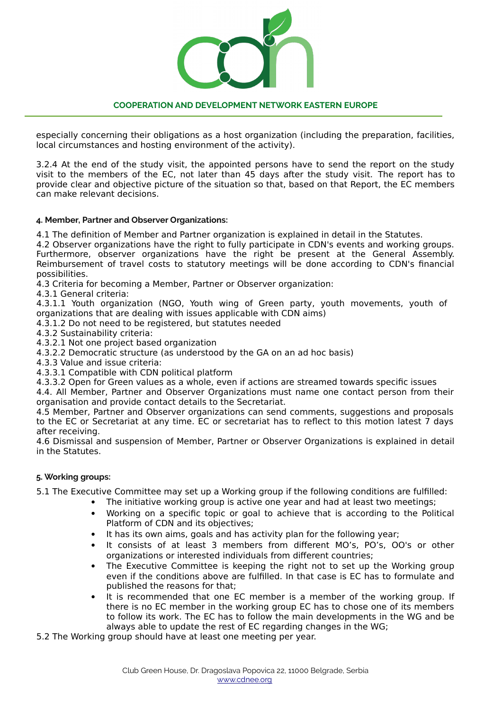

especially concerning their obligations as a host organization (including the preparation, facilities, local circumstances and hosting environment of the activity).

3.2.4 At the end of the study visit, the appointed persons have to send the report on the study visit to the members of the EC, not later than 45 days after the study visit. The report has to provide clear and objective picture of the situation so that, based on that Report, the EC members can make relevant decisions.

### **4. Member, Partner and Observer Organizations:**

4.1 The definition of Member and Partner organization is explained in detail in the Statutes.

4.2 Observer organizations have the right to fully participate in CDN's events and working groups. Furthermore, observer organizations have the right be present at the General Assembly. Reimbursement of travel costs to statutory meetings will be done according to CDN's financial possibilities.

4.3 Criteria for becoming a Member, Partner or Observer organization:

4.3.1 General criteria:

4.3.1.1 Youth organization (NGO, Youth wing of Green party, youth movements, youth of organizations that are dealing with issues applicable with CDN aims)

4.3.1.2 Do not need to be registered, but statutes needed

4.3.2 Sustainability criteria:

4.3.2.1 Not one project based organization

4.3.2.2 Democratic structure (as understood by the GA on an ad hoc basis)

4.3.3 Value and issue criteria:

4.3.3.1 Compatible with CDN political platform

4.3.3.2 Open for Green values as a whole, even if actions are streamed towards specific issues

4.4. All Member, Partner and Observer Organizations must name one contact person from their organisation and provide contact details to the Secretariat.

4.5 Member, Partner and Observer organizations can send comments, suggestions and proposals to the EC or Secretariat at any time. EC or secretariat has to reflect to this motion latest 7 days after receiving.

4.6 Dismissal and suspension of Member, Partner or Observer Organizations is explained in detail in the Statutes.

## **5. Working groups:**

5.1 The Executive Committee may set up a Working group if the following conditions are fulfilled:

- The initiative working group is active one year and had at least two meetings;
- Working on a specific topic or goal to achieve that is according to the Political Platform of CDN and its objectives;
- It has its own aims, goals and has activity plan for the following year;
- It consists of at least 3 members from different MO's, PO's, OO's or other organizations or interested individuals from different countries;
- The Executive Committee is keeping the right not to set up the Working group even if the conditions above are fulfilled. In that case is EC has to formulate and published the reasons for that;
- It is recommended that one EC member is a member of the working group. If there is no EC member in the working group EC has to chose one of its members to follow its work. The EC has to follow the main developments in the WG and be always able to update the rest of EC regarding changes in the WG;

5.2 The Working group should have at least one meeting per year.